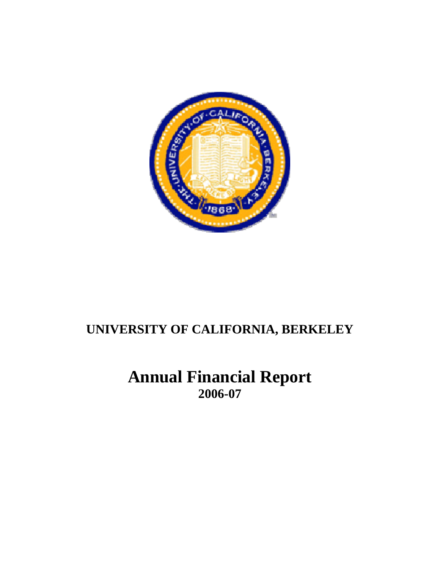

**Annual Financial Report 2006-07**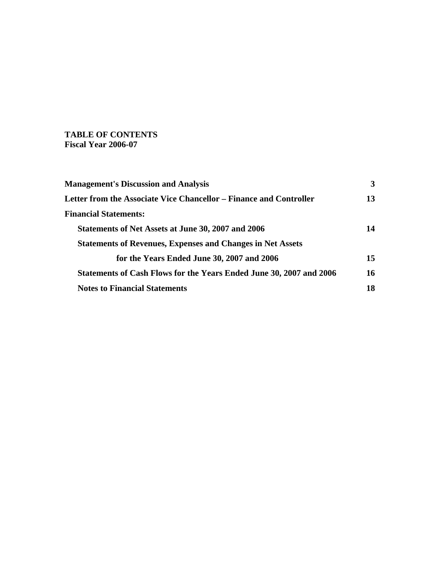## **TABLE OF CONTENTS Fiscal Year 2006-07**

| <b>Management's Discussion and Analysis</b>                                | 3  |
|----------------------------------------------------------------------------|----|
| Letter from the Associate Vice Chancellor – Finance and Controller         | 13 |
| <b>Financial Statements:</b>                                               |    |
| Statements of Net Assets at June 30, 2007 and 2006                         | 14 |
| <b>Statements of Revenues, Expenses and Changes in Net Assets</b>          |    |
| for the Years Ended June 30, 2007 and 2006                                 | 15 |
| <b>Statements of Cash Flows for the Years Ended June 30, 2007 and 2006</b> | 16 |
| <b>Notes to Financial Statements</b>                                       | 18 |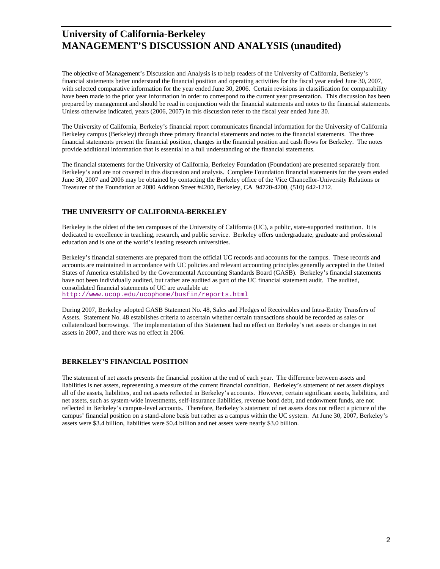The objective of Management's Discussion and Analysis is to help readers of the University of California, Berkeley's financial statements better understand the financial position and operating activities for the fiscal year ended June 30, 2007, with selected comparative information for the year ended June 30, 2006. Certain revisions in classification for comparability have been made to the prior year information in order to correspond to the current year presentation. This discussion has been prepared by management and should be read in conjunction with the financial statements and notes to the financial statements. Unless otherwise indicated, years (2006, 2007) in this discussion refer to the fiscal year ended June 30.

The University of California, Berkeley's financial report communicates financial information for the University of California Berkeley campus (Berkeley) through three primary financial statements and notes to the financial statements. The three financial statements present the financial position, changes in the financial position and cash flows for Berkeley. The notes provide additional information that is essential to a full understanding of the financial statements.

The financial statements for the University of California, Berkeley Foundation (Foundation) are presented separately from Berkeley's and are not covered in this discussion and analysis. Complete Foundation financial statements for the years ended June 30, 2007 and 2006 may be obtained by contacting the Berkeley office of the Vice Chancellor-University Relations or Treasurer of the Foundation at 2080 Addison Street #4200, Berkeley, CA 94720-4200, (510) 642-1212.

### **THE UNIVERSITY OF CALIFORNIA-BERKELEY**

Berkeley is the oldest of the ten campuses of the University of California (UC), a public, state-supported institution. It is dedicated to excellence in teaching, research, and public service. Berkeley offers undergraduate, graduate and professional education and is one of the world's leading research universities.

Berkeley's financial statements are prepared from the official UC records and accounts for the campus. These records and accounts are maintained in accordance with UC policies and relevant accounting principles generally accepted in the United States of America established by the Governmental Accounting Standards Board (GASB). Berkeley's financial statements have not been individually audited, but rather are audited as part of the UC financial statement audit. The audited, consolidated financial statements of UC are available at: http://www.ucop.edu/ucophome/busfin/reports.html

During 2007, Berkeley adopted GASB Statement No. 48, Sales and Pledges of Receivables and Intra-Entity Transfers of Assets. Statement No. 48 establishes criteria to ascertain whether certain transactions should be recorded as sales or collateralized borrowings. The implementation of this Statement had no effect on Berkeley's net assets or changes in net assets in 2007, and there was no effect in 2006.

#### **BERKELEY'S FINANCIAL POSITION**

The statement of net assets presents the financial position at the end of each year. The difference between assets and liabilities is net assets, representing a measure of the current financial condition. Berkeley's statement of net assets displays all of the assets, liabilities, and net assets reflected in Berkeley's accounts. However, certain significant assets, liabilities, and net assets, such as system-wide investments, self-insurance liabilities, revenue bond debt, and endowment funds, are not reflected in Berkeley's campus-level accounts. Therefore, Berkeley's statement of net assets does not reflect a picture of the campus' financial position on a stand-alone basis but rather as a campus within the UC system. At June 30, 2007, Berkeley's assets were \$3.4 billion, liabilities were \$0.4 billion and net assets were nearly \$3.0 billion.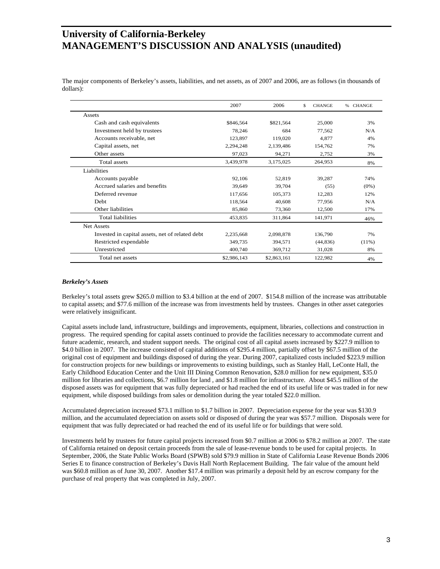The major components of Berkeley's assets, liabilities, and net assets, as of 2007 and 2006, are as follows (in thousands of dollars):

|                                                 | 2007        | 2006        | <b>CHANGE</b><br>\$. | <b>CHANGE</b><br>$\%$ |
|-------------------------------------------------|-------------|-------------|----------------------|-----------------------|
| Assets                                          |             |             |                      |                       |
| Cash and cash equivalents                       | \$846,564   | \$821,564   | 25,000               | 3%                    |
| Investment held by trustees                     | 78,246      | 684         | 77,562               | N/A                   |
| Accounts receivable, net                        | 123,897     | 119,020     | 4,877                | 4%                    |
| Capital assets, net                             | 2,294,248   | 2,139,486   | 154,762              | 7%                    |
| Other assets                                    | 97,023      | 94,271      | 2,752                | 3%                    |
| Total assets                                    | 3,439,978   | 3,175,025   | 264,953              | 8%                    |
| Liabilities                                     |             |             |                      |                       |
| Accounts payable                                | 92,106      | 52,819      | 39,287               | 74%                   |
| Accrued salaries and benefits                   | 39,649      | 39,704      | (55)                 | $(0\%)$               |
| Deferred revenue                                | 117,656     | 105,373     | 12,283               | 12%                   |
| Debt                                            | 118,564     | 40,608      | 77,956               | N/A                   |
| Other liabilities                               | 85,860      | 73,360      | 12,500               | 17%                   |
| Total liabilities                               | 453,835     | 311,864     | 141,971              | 46%                   |
| Net Assets                                      |             |             |                      |                       |
| Invested in capital assets, net of related debt | 2,235,668   | 2,098,878   | 136,790              | 7%                    |
| Restricted expendable                           | 349,735     | 394,571     | (44, 836)            | $(11\%)$              |
| Unrestricted                                    | 400,740     | 369,712     | 31,028               | 8%                    |
| Total net assets                                | \$2,986,143 | \$2,863,161 | 122,982              | 4%                    |

#### *Berkeley's Assets*

Berkeley's total assets grew \$265.0 million to \$3.4 billion at the end of 2007. \$154.8 million of the increase was attributable to capital assets; and \$77.6 million of the increase was from investments held by trustees. Changes in other asset categories were relatively insignificant.

Capital assets include land, infrastructure, buildings and improvements, equipment, libraries, collections and construction in progress. The required spending for capital assets continued to provide the facilities necessary to accommodate current and future academic, research, and student support needs. The original cost of all capital assets increased by \$227.9 million to \$4.0 billion in 2007. The increase consisted of capital additions of \$295.4 million, partially offset by \$67.5 million of the original cost of equipment and buildings disposed of during the year. During 2007, capitalized costs included \$223.9 million for construction projects for new buildings or improvements to existing buildings, such as Stanley Hall, LeConte Hall, the Early Childhood Education Center and the Unit III Dining Common Renovation, \$28.0 million for new equipment, \$35.0 million for libraries and collections, \$6.7 million for land , and \$1.8 million for infrastructure. About \$45.5 million of the disposed assets was for equipment that was fully depreciated or had reached the end of its useful life or was traded in for new equipment, while disposed buildings from sales or demolition during the year totaled \$22.0 million.

Accumulated depreciation increased \$73.1 million to \$1.7 billion in 2007. Depreciation expense for the year was \$130.9 million, and the accumulated depreciation on assets sold or disposed of during the year was \$57.7 million. Disposals were for equipment that was fully depreciated or had reached the end of its useful life or for buildings that were sold.

Investments held by trustees for future capital projects increased from \$0.7 million at 2006 to \$78.2 million at 2007. The state of California retained on deposit certain proceeds from the sale of lease-revenue bonds to be used for capital projects. In September, 2006, the State Public Works Board (SPWB) sold \$79.9 million in State of California Lease Revenue Bonds 2006 Series E to finance construction of Berkeley's Davis Hall North Replacement Building. The fair value of the amount held was \$60.8 million as of June 30, 2007. Another \$17.4 million was primarily a deposit held by an escrow company for the purchase of real property that was completed in July, 2007.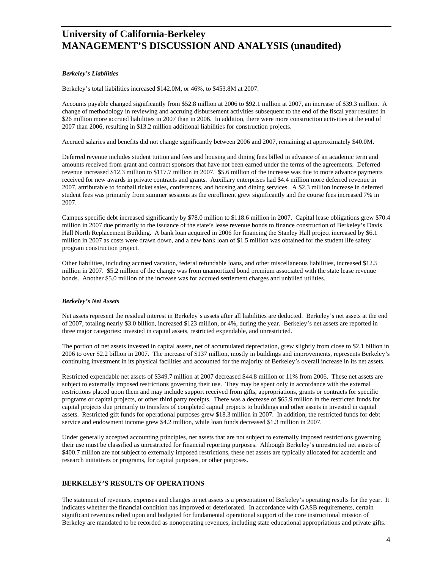#### *Berkeley's Liabilities*

Berkeley's total liabilities increased \$142.0M, or 46%, to \$453.8M at 2007.

Accounts payable changed significantly from \$52.8 million at 2006 to \$92.1 million at 2007, an increase of \$39.3 million. A change of methodology in reviewing and accruing disbursement activities subsequent to the end of the fiscal year resulted in \$26 million more accrued liabilities in 2007 than in 2006. In addition, there were more construction activities at the end of 2007 than 2006, resulting in \$13.2 million additional liabilities for construction projects.

Accrued salaries and benefits did not change significantly between 2006 and 2007, remaining at approximately \$40.0M.

Deferred revenue includes student tuition and fees and housing and dining fees billed in advance of an academic term and amounts received from grant and contract sponsors that have not been earned under the terms of the agreements. Deferred revenue increased \$12.3 million to \$117.7 million in 2007. \$5.6 million of the increase was due to more advance payments received for new awards in private contracts and grants. Auxiliary enterprises had \$4.4 million more deferred revenue in 2007, attributable to football ticket sales, conferences, and housing and dining services. A \$2.3 million increase in deferred student fees was primarily from summer sessions as the enrollment grew significantly and the course fees increased 7% in 2007.

Campus specific debt increased significantly by \$78.0 million to \$118.6 million in 2007. Capital lease obligations grew \$70.4 million in 2007 due primarily to the issuance of the state's lease revenue bonds to finance construction of Berkeley's Davis Hall North Replacement Building. A bank loan acquired in 2006 for financing the Stanley Hall project increased by \$6.1 million in 2007 as costs were drawn down, and a new bank loan of \$1.5 million was obtained for the student life safety program construction project.

Other liabilities, including accrued vacation, federal refundable loans, and other miscellaneous liabilities, increased \$12.5 million in 2007. \$5.2 million of the change was from unamortized bond premium associated with the state lease revenue bonds. Another \$5.0 million of the increase was for accrued settlement charges and unbilled utilities.

#### *Berkeley's Net Assets*

Net assets represent the residual interest in Berkeley's assets after all liabilities are deducted. Berkeley's net assets at the end of 2007, totaling nearly \$3.0 billion, increased \$123 million, or 4%, during the year. Berkeley's net assets are reported in three major categories: invested in capital assets, restricted expendable, and unrestricted.

The portion of net assets invested in capital assets, net of accumulated depreciation, grew slightly from close to \$2.1 billion in 2006 to over \$2.2 billion in 2007. The increase of \$137 million, mostly in buildings and improvements, represents Berkeley's continuing investment in its physical facilities and accounted for the majority of Berkeley's overall increase in its net assets.

Restricted expendable net assets of \$349.7 million at 2007 decreased \$44.8 million or 11% from 2006. These net assets are subject to externally imposed restrictions governing their use. They may be spent only in accordance with the external restrictions placed upon them and may include support received from gifts, appropriations, grants or contracts for specific programs or capital projects, or other third party receipts. There was a decrease of \$65.9 million in the restricted funds for capital projects due primarily to transfers of completed capital projects to buildings and other assets in invested in capital assets. Restricted gift funds for operational purposes grew \$18.3 million in 2007. In addition, the restricted funds for debt service and endowment income grew \$4.2 million, while loan funds decreased \$1.3 million in 2007.

Under generally accepted accounting principles, net assets that are not subject to externally imposed restrictions governing their use must be classified as unrestricted for financial reporting purposes. Although Berkeley's unrestricted net assets of \$400.7 million are not subject to externally imposed restrictions, these net assets are typically allocated for academic and research initiatives or programs, for capital purposes, or other purposes.

#### **BERKELEY'S RESULTS OF OPERATIONS**

The statement of revenues, expenses and changes in net assets is a presentation of Berkeley's operating results for the year. It indicates whether the financial condition has improved or deteriorated. In accordance with GASB requirements, certain significant revenues relied upon and budgeted for fundamental operational support of the core instructional mission of Berkeley are mandated to be recorded as nonoperating revenues, including state educational appropriations and private gifts.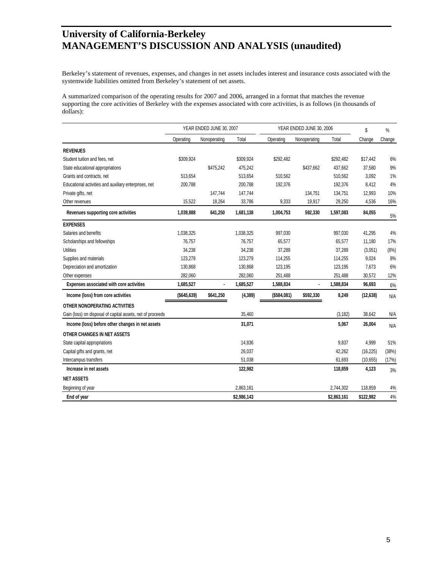Berkeley's statement of revenues, expenses, and changes in net assets includes interest and insurance costs associated with the systemwide liabilities omitted from Berkeley's statement of net assets.

A summarized comparison of the operating results for 2007 and 2006, arranged in a format that matches the revenue supporting the core activities of Berkeley with the expenses associated with core activities, is as follows (in thousands of dollars):

|                                                            | YEAR ENDED JUNE 30, 2007 |              | YEAR ENDED JUNE 30, 2006 |             |              | \$          | %         |        |
|------------------------------------------------------------|--------------------------|--------------|--------------------------|-------------|--------------|-------------|-----------|--------|
|                                                            | Operating                | Nonoperating | Total                    | Operating   | Nonoperating | Total       | Change    | Change |
| <b>REVENUES</b>                                            |                          |              |                          |             |              |             |           |        |
| Student tuition and fees, net                              | \$309,924                |              | \$309,924                | \$292,482   |              | \$292,482   | \$17,442  | 6%     |
| State educational appropriations                           |                          | \$475,242    | 475,242                  |             | \$437,662    | 437,662     | 37,580    | 9%     |
| Grants and contracts, net                                  | 513,654                  |              | 513,654                  | 510,562     |              | 510,562     | 3,092     | 1%     |
| Educational activities and auxiliary enterprises, net      | 200,788                  |              | 200,788                  | 192,376     |              | 192,376     | 8,412     | 4%     |
| Private gifts, net                                         |                          | 147,744      | 147,744                  |             | 134,751      | 134,751     | 12,993    | 10%    |
| Other revenues                                             | 15,522                   | 18,264       | 33,786                   | 9,333       | 19,917       | 29,250      | 4,536     | 16%    |
| Revenues supporting core activities                        | 1,039,888                | 641,250      | 1,681,138                | 1,004,753   | 592,330      | 1,597,083   | 84,055    | 5%     |
| <b>EXPENSES</b>                                            |                          |              |                          |             |              |             |           |        |
| Salaries and benefits                                      | 1,038,325                |              | 1,038,325                | 997,030     |              | 997,030     | 41,295    | 4%     |
| Scholarships and fellowships                               | 76,757                   |              | 76,757                   | 65,577      |              | 65,577      | 11,180    | 17%    |
| <b>Utilities</b>                                           | 34,238                   |              | 34,238                   | 37,289      |              | 37,289      | (3,051)   | (8%)   |
| Supplies and materials                                     | 123,279                  |              | 123,279                  | 114,255     |              | 114,255     | 9,024     | 8%     |
| Depreciation and amortization                              | 130,868                  |              | 130,868                  | 123,195     |              | 123,195     | 7,673     | 6%     |
| Other expenses                                             | 282,060                  |              | 282,060                  | 251,488     |              | 251,488     | 30,572    | 12%    |
| Expenses associated with core activities                   | 1,685,527                | ٠            | 1,685,527                | 1,588,834   | ٠            | 1,588,834   | 96,693    | 6%     |
| Income (loss) from core activities                         | ( \$645, 639)            | \$641,250    | (4, 389)                 | (\$584,081) | \$592,330    | 8,249       | (12, 638) | N/A    |
| OTHER NONOPERATING ACTIVITIES                              |                          |              |                          |             |              |             |           |        |
| Gain (loss) on disposal of capital assets, net of proceeds |                          |              | 35,460                   |             |              | (3, 182)    | 38,642    | N/A    |
| Income (loss) before other changes in net assets           |                          |              | 31,071                   |             |              | 5,067       | 26,004    | N/A    |
| OTHER CHANGES IN NET ASSETS                                |                          |              |                          |             |              |             |           |        |
| State capital appropriations                               |                          |              | 14,836                   |             |              | 9,837       | 4,999     | 51%    |
| Capital gifts and grants, net                              |                          |              | 26,037                   |             |              | 42,262      | (16, 225) | (38%)  |
| Intercampus transfers                                      |                          |              | 51,038                   |             |              | 61,693      | (10, 655) | (17%)  |
| Increase in net assets                                     |                          |              | 122,982                  |             |              | 118,859     | 4,123     | 3%     |
| <b>NET ASSETS</b>                                          |                          |              |                          |             |              |             |           |        |
| Beginning of year                                          |                          |              | 2,863,161                |             |              | 2,744,302   | 118,859   | 4%     |
| End of year                                                |                          |              | \$2,986,143              |             |              | \$2,863,161 | \$122,982 | 4%     |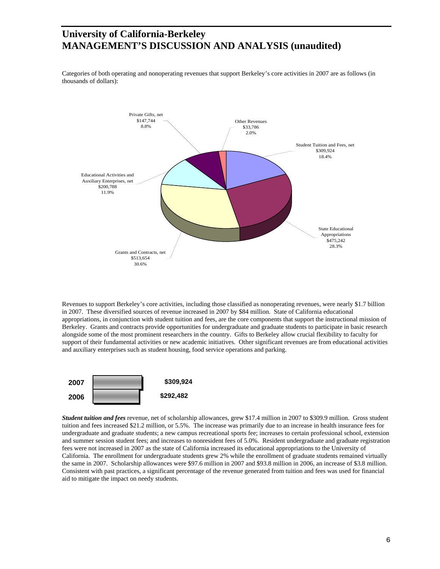Categories of both operating and nonoperating revenues that support Berkeley's core activities in 2007 are as follows (in thousands of dollars):



Revenues to support Berkeley's core activities, including those classified as nonoperating revenues, were nearly \$1.7 billion in 2007. These diversified sources of revenue increased in 2007 by \$84 million. State of California educational appropriations, in conjunction with student tuition and fees, are the core components that support the instructional mission of Berkeley. Grants and contracts provide opportunities for undergraduate and graduate students to participate in basic research alongside some of the most prominent researchers in the country. Gifts to Berkeley allow crucial flexibility to faculty for support of their fundamental activities or new academic initiatives. Other significant revenues are from educational activities and auxiliary enterprises such as student housing, food service operations and parking.



*Student tuition and fees* revenue, net of scholarship allowances, grew \$17.4 million in 2007 to \$309.9 million. Gross student tuition and fees increased \$21.2 million, or 5.5%. The increase was primarily due to an increase in health insurance fees for undergraduate and graduate students; a new campus recreational sports fee; increases to certain professional school, extension and summer session student fees; and increases to nonresident fees of 5.0%. Resident undergraduate and graduate registration fees were not increased in 2007 as the state of California increased its educational appropriations to the University of California. The enrollment for undergraduate students grew 2% while the enrollment of graduate students remained virtually the same in 2007. Scholarship allowances were \$97.6 million in 2007 and \$93.8 million in 2006, an increase of \$3.8 million. Consistent with past practices, a significant percentage of the revenue generated from tuition and fees was used for financial aid to mitigate the impact on needy students.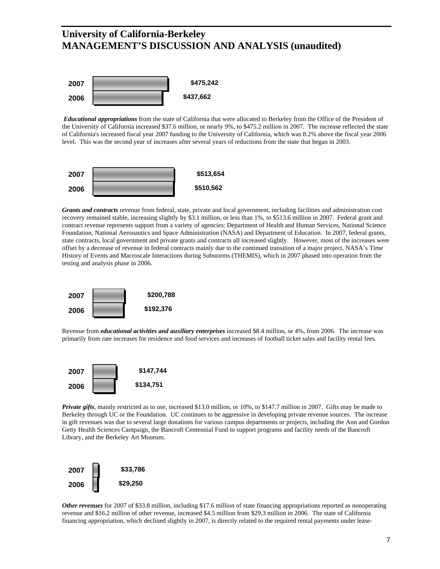

*Educational appropriations* from the state of California that were allocated to Berkeley from the Office of the President of the University of California increased \$37.6 million, or nearly 9%, to \$475.2 million in 2007. The increase reflected the state of California's increased fiscal year 2007 funding to the University of California, which was 8.2% above the fiscal year 2006 level. This was the second year of increases after several years of reductions from the state that began in 2003.



*Grants and contracts* revenue from federal, state, private and local government, including facilities and administration cost recovery remained stable, increasing slightly by \$3.1 million, or less than 1%, to \$513.6 million in 2007. Federal grant and contract revenue represents support from a variety of agencies: Department of Health and Human Services, National Science Foundation, National Aeronautics and Space Administration (NASA) and Department of Education. In 2007, federal grants, state contracts, local government and private grants and contracts all increased slightly. However, most of the increases were offset by a decrease of revenue in federal contracts mainly due to the continued transition of a major project, NASA's Time History of Events and Macroscale Interactions during Substorms (THEMIS), which in 2007 phased into operation from the testing and analysis phase in 2006.



Revenue from *educational activities and auxiliary enterprises* increased \$8.4 million, or 4%, from 2006. The increase was primarily from rate increases for residence and food services and increases of football ticket sales and facility rental fees.



*Private gifts*, mainly restricted as to use, increased \$13.0 million, or 10%, to \$147.7 million in 2007. Gifts may be made to Berkeley through UC or the Foundation. UC continues to be aggressive in developing private revenue sources. The increase in gift revenues was due to several large donations for various campus departments or projects, including the Ann and Gordon Getty Health Sciences Campaign, the Bancroft Centennial Fund to support programs and facility needs of the Bancroft Library, and the Berkeley Art Museum.



*Other revenues* for 2007 of \$33.8 million, including \$17.6 million of state financing appropriations reported as nonoperating revenue and \$16.2 million of other revenue, increased \$4.5 million from \$29.3 million in 2006. The state of California financing appropriation, which declined slightly in 2007, is directly related to the required rental payments under lease-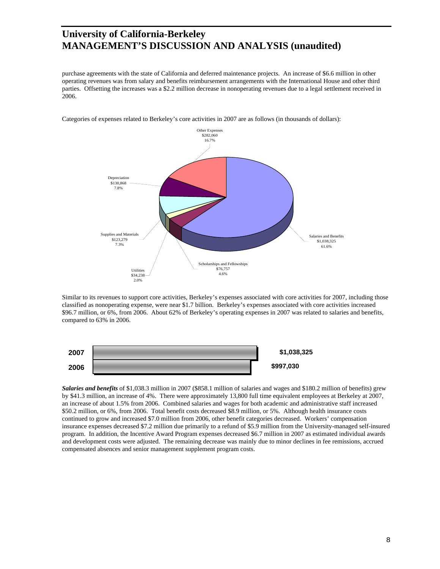purchase agreements with the state of California and deferred maintenance projects. An increase of \$6.6 million in other operating revenues was from salary and benefits reimbursement arrangements with the International House and other third parties. Offsetting the increases was a \$2.2 million decrease in nonoperating revenues due to a legal settlement received in 2006.



Categories of expenses related to Berkeley's core activities in 2007 are as follows (in thousands of dollars):

Similar to its revenues to support core activities, Berkeley's expenses associated with core activities for 2007, including those classified as nonoperating expense, were near \$1.7 billion. Berkeley's expenses associated with core activities increased \$96.7 million, or 6%, from 2006. About 62% of Berkeley's operating expenses in 2007 was related to salaries and benefits, compared to 63% in 2006.



*Salaries and benefits* of \$1,038.3 million in 2007 (\$858.1 million of salaries and wages and \$180.2 million of benefits) grew by \$41.3 million, an increase of 4%. There were approximately 13,800 full time equivalent employees at Berkeley at 2007, an increase of about 1.5% from 2006. Combined salaries and wages for both academic and administrative staff increased \$50.2 million, or 6%, from 2006. Total benefit costs decreased \$8.9 million, or 5%. Although health insurance costs continued to grow and increased \$7.0 million from 2006, other benefit categories decreased. Workers' compensation insurance expenses decreased \$7.2 million due primarily to a refund of \$5.9 million from the University-managed self-insured program. In addition, the Incentive Award Program expenses decreased \$6.7 million in 2007 as estimated individual awards and development costs were adjusted. The remaining decrease was mainly due to minor declines in fee remissions, accrued compensated absences and senior management supplement program costs.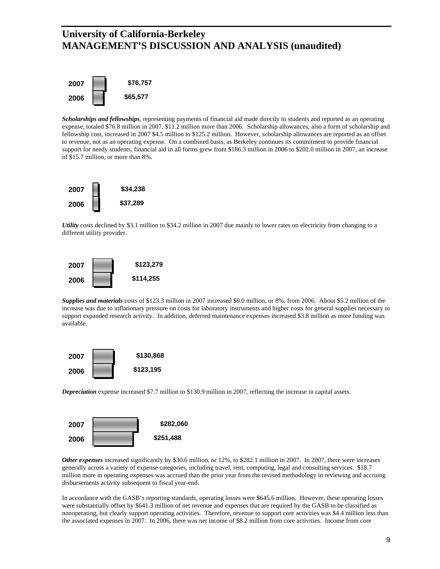

*Scholarships and fellowships*, representing payments of financial aid made directly to students and reported as an operating expense, totaled \$76.8 million in 2007, \$11.2 million more than 2006. Scholarship allowances, also a form of scholarship and fellowship cost, increased in 2007 \$4.5 million to \$125.2 million. However, scholarship allowances are reported as an offset to revenue, not as an operating expense. On a combined basis, as Berkeley continues its commitment to provide financial support for needy students, financial aid in all forms grew from \$186.3 million in 2006 to \$202.0 million in 2007, an increase of \$15.7 million, or more than 8%.



*Utility* costs declined by \$3.1 million to \$34.2 million in 2007 due mainly to lower rates on electricity from changing to a different utility provider.



*Supplies and materials* costs of \$123.3 million in 2007 increased \$9.0 million, or 8%, from 2006. About \$5.2 million of the increase was due to inflationary pressure on costs for laboratory instruments and higher costs for general supplies necessary to support expanded research activity. In addition, deferred maintenance expenses increased \$3.8 million as more funding was available.



*Depreciation* expense increased \$7.7 million to \$130.9 million in 2007, reflecting the increase in capital assets.



*Other expenses* increased significantly by \$30.6 million, or 12%, to \$282.1 million in 2007. In 2007, there were increases generally across a variety of expense categories, including travel, rent, computing, legal and consulting services. \$18.7 million more in operating expenses was accrued than the prior year from the revised methodology in reviewing and accruing disbursements activity subsequent to fiscal year-end.

In accordance with the GASB's reporting standards, operating losses were \$645.6 million. However, these operating losses were substantially offset by \$641.3 million of net revenue and expenses that are required by the GASB to be classified as nonoperating, but clearly support operating activities. Therefore, revenue to support core activities was \$4.4 million less than the associated expenses in 2007. In 2006, there was net income of \$8.2 million from core activities. Income from core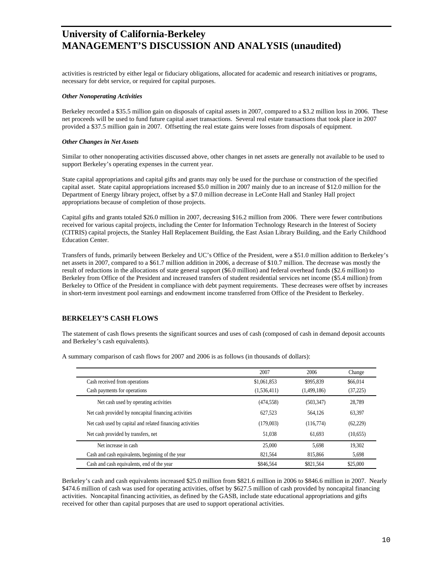activities is restricted by either legal or fiduciary obligations, allocated for academic and research initiatives or programs, necessary for debt service, or required for capital purposes.

#### *Other Nonoperating Activities*

Berkeley recorded a \$35.5 million gain on disposals of capital assets in 2007, compared to a \$3.2 million loss in 2006. These net proceeds will be used to fund future capital asset transactions. Several real estate transactions that took place in 2007 provided a \$37.5 million gain in 2007. Offsetting the real estate gains were losses from disposals of equipment.

#### *Other Changes in Net Assets*

Similar to other nonoperating activities discussed above, other changes in net assets are generally not available to be used to support Berkeley's operating expenses in the current year.

State capital appropriations and capital gifts and grants may only be used for the purchase or construction of the specified capital asset. State capital appropriations increased \$5.0 million in 2007 mainly due to an increase of \$12.0 million for the Department of Energy library project, offset by a \$7.0 million decrease in LeConte Hall and Stanley Hall project appropriations because of completion of those projects.

Capital gifts and grants totaled \$26.0 million in 2007, decreasing \$16.2 million from 2006. There were fewer contributions received for various capital projects, including the Center for Information Technology Research in the Interest of Society (CITRIS) capital projects, the Stanley Hall Replacement Building, the East Asian Library Building, and the Early Childhood Education Center.

Transfers of funds, primarily between Berkeley and UC's Office of the President, were a \$51.0 million addition to Berkeley's net assets in 2007, compared to a \$61.7 million addition in 2006, a decrease of \$10.7 million. The decrease was mostly the result of reductions in the allocations of state general support (\$6.0 million) and federal overhead funds (\$2.6 million) to Berkeley from Office of the President and increased transfers of student residential services net income (\$5.4 million) from Berkeley to Office of the President in compliance with debt payment requirements. These decreases were offset by increases in short-term investment pool earnings and endowment income transferred from Office of the President to Berkeley.

### **BERKELEY'S CASH FLOWS**

The statement of cash flows presents the significant sources and uses of cash (composed of cash in demand deposit accounts and Berkeley's cash equivalents).

|                                                           | 2007        | 2006        | Change    |
|-----------------------------------------------------------|-------------|-------------|-----------|
| Cash received from operations                             | \$1,061,853 | \$995,839   | \$66,014  |
| Cash payments for operations                              | (1,536,411) | (1,499,186) | (37, 225) |
| Net cash used by operating activities                     | (474, 558)  | (503, 347)  | 28,789    |
| Net cash provided by noncapital financing activities      | 627.523     | 564.126     | 63.397    |
| Net cash used by capital and related financing activities | (179,003)   | (116,774)   | (62, 229) |
| Net cash provided by transfers, net                       | 51.038      | 61.693      | (10,655)  |
| Net increase in cash                                      | 25,000      | 5.698       | 19.302    |
| Cash and cash equivalents, beginning of the year          | 821,564     | 815,866     | 5,698     |
| Cash and cash equivalents, end of the year                | \$846,564   | \$821,564   | \$25,000  |

A summary comparison of cash flows for 2007 and 2006 is as follows (in thousands of dollars):

Berkeley's cash and cash equivalents increased \$25.0 million from \$821.6 million in 2006 to \$846.6 million in 2007. Nearly \$474.6 million of cash was used for operating activities, offset by \$627.5 million of cash provided by noncapital financing activities. Noncapital financing activities, as defined by the GASB, include state educational appropriations and gifts received for other than capital purposes that are used to support operational activities.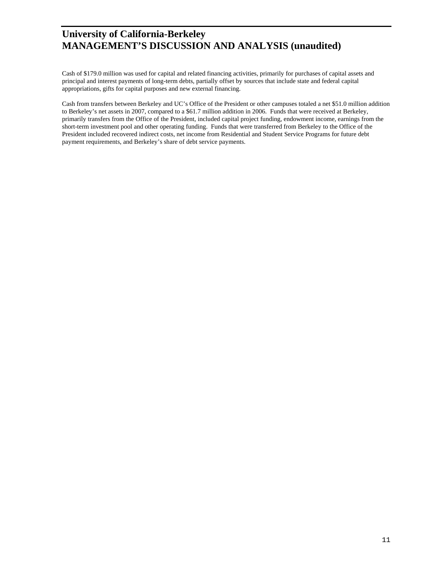Cash of \$179.0 million was used for capital and related financing activities, primarily for purchases of capital assets and principal and interest payments of long-term debts, partially offset by sources that include state and federal capital appropriations, gifts for capital purposes and new external financing.

Cash from transfers between Berkeley and UC's Office of the President or other campuses totaled a net \$51.0 million addition to Berkeley's net assets in 2007, compared to a \$61.7 million addition in 2006. Funds that were received at Berkeley, primarily transfers from the Office of the President, included capital project funding, endowment income, earnings from the short-term investment pool and other operating funding. Funds that were transferred from Berkeley to the Office of the President included recovered indirect costs, net income from Residential and Student Service Programs for future debt payment requirements, and Berkeley's share of debt service payments.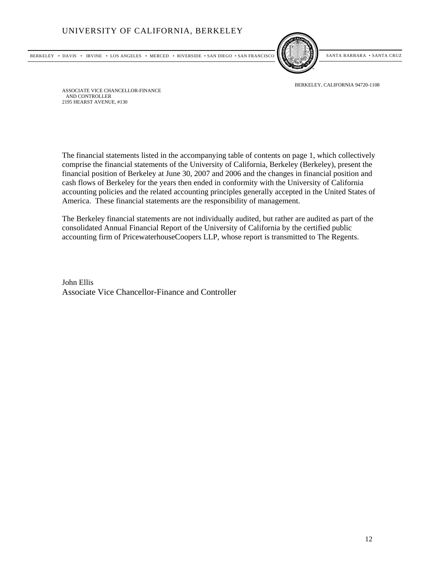



BERKELEY, CALIFORNIA 94720-1108

ASSOCIATE VICE CHANCELLOR-FINANCE AND CONTROLLER 2195 HEARST AVENUE, #130

The financial statements listed in the accompanying table of contents on page 1, which collectively comprise the financial statements of the University of California, Berkeley (Berkeley), present the financial position of Berkeley at June 30, 2007 and 2006 and the changes in financial position and cash flows of Berkeley for the years then ended in conformity with the University of California accounting policies and the related accounting principles generally accepted in the United States of America. These financial statements are the responsibility of management.

The Berkeley financial statements are not individually audited, but rather are audited as part of the consolidated Annual Financial Report of the University of California by the certified public accounting firm of PricewaterhouseCoopers LLP, whose report is transmitted to The Regents.

John Ellis Associate Vice Chancellor-Finance and Controller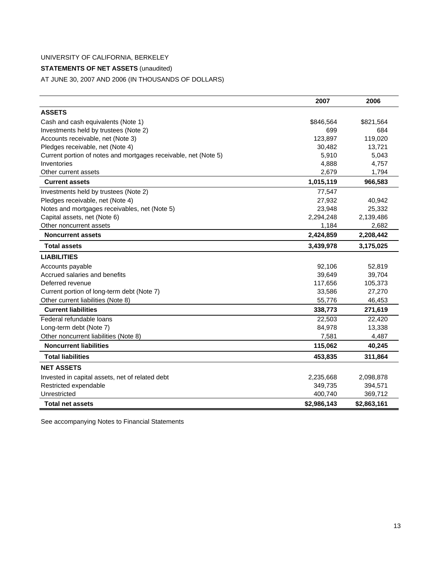## **STATEMENTS OF NET ASSETS** (unaudited)

AT JUNE 30, 2007 AND 2006 (IN THOUSANDS OF DOLLARS)

|                                                                 | 2007        | 2006        |
|-----------------------------------------------------------------|-------------|-------------|
| <b>ASSETS</b>                                                   |             |             |
| Cash and cash equivalents (Note 1)                              | \$846,564   | \$821,564   |
| Investments held by trustees (Note 2)                           | 699         | 684         |
| Accounts receivable, net (Note 3)                               | 123,897     | 119,020     |
| Pledges receivable, net (Note 4)                                | 30,482      | 13,721      |
| Current portion of notes and mortgages receivable, net (Note 5) | 5,910       | 5,043       |
| Inventories                                                     | 4,888       | 4,757       |
| Other current assets                                            | 2,679       | 1,794       |
| <b>Current assets</b>                                           | 1,015,119   | 966,583     |
| Investments held by trustees (Note 2)                           | 77,547      |             |
| Pledges receivable, net (Note 4)                                | 27,932      | 40,942      |
| Notes and mortgages receivables, net (Note 5)                   | 23,948      | 25,332      |
| Capital assets, net (Note 6)                                    | 2,294,248   | 2,139,486   |
| Other noncurrent assets                                         | 1,184       | 2,682       |
| <b>Noncurrent assets</b>                                        | 2,424,859   | 2,208,442   |
| <b>Total assets</b>                                             | 3,439,978   | 3,175,025   |
| <b>LIABILITIES</b>                                              |             |             |
| Accounts payable                                                | 92,106      | 52,819      |
| Accrued salaries and benefits                                   | 39,649      | 39,704      |
| Deferred revenue                                                | 117,656     | 105,373     |
| Current portion of long-term debt (Note 7)                      | 33,586      | 27,270      |
| Other current liabilities (Note 8)                              | 55,776      | 46,453      |
| <b>Current liabilities</b>                                      | 338,773     | 271,619     |
| Federal refundable loans                                        | 22,503      | 22,420      |
| Long-term debt (Note 7)                                         | 84,978      | 13,338      |
| Other noncurrent liabilities (Note 8)                           | 7,581       | 4,487       |
| <b>Noncurrent liabilities</b>                                   | 115,062     | 40,245      |
| <b>Total liabilities</b>                                        | 453,835     | 311,864     |
| <b>NET ASSETS</b>                                               |             |             |
| Invested in capital assets, net of related debt                 | 2,235,668   | 2,098,878   |
| Restricted expendable                                           | 349,735     | 394,571     |
| Unrestricted                                                    | 400,740     | 369,712     |
| <b>Total net assets</b>                                         | \$2,986,143 | \$2,863,161 |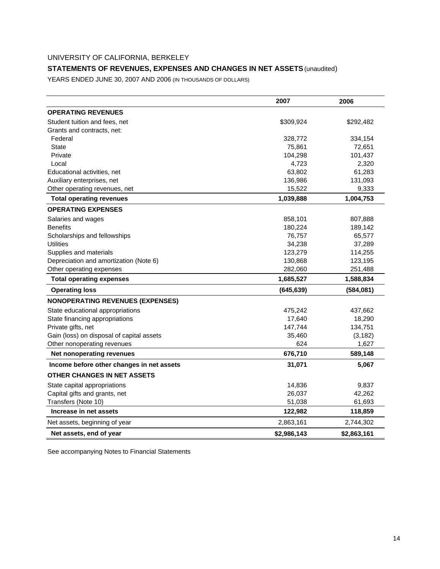## **STATEMENTS OF REVENUES, EXPENSES AND CHANGES IN NET ASSETS** (unaudited)

YEARS ENDED JUNE 30, 2007 AND 2006 (IN THOUSANDS OF DOLLARS)

|                                           | 2007        | 2006        |
|-------------------------------------------|-------------|-------------|
| <b>OPERATING REVENUES</b>                 |             |             |
| Student tuition and fees, net             | \$309,924   | \$292,482   |
| Grants and contracts, net:                |             |             |
| Federal                                   | 328,772     | 334,154     |
| <b>State</b>                              | 75,861      | 72,651      |
| Private                                   | 104,298     | 101,437     |
| Local                                     | 4,723       | 2,320       |
| Educational activities, net               | 63,802      | 61,283      |
| Auxiliary enterprises, net                | 136,986     | 131,093     |
| Other operating revenues, net             | 15,522      | 9,333       |
| <b>Total operating revenues</b>           | 1,039,888   | 1,004,753   |
| <b>OPERATING EXPENSES</b>                 |             |             |
| Salaries and wages                        | 858,101     | 807,888     |
| <b>Benefits</b>                           | 180,224     | 189,142     |
| Scholarships and fellowships              | 76,757      | 65,577      |
| <b>Utilities</b>                          | 34,238      | 37,289      |
| Supplies and materials                    | 123,279     | 114,255     |
| Depreciation and amortization (Note 6)    | 130,868     | 123,195     |
| Other operating expenses                  | 282,060     | 251,488     |
| <b>Total operating expenses</b>           | 1,685,527   | 1,588,834   |
| <b>Operating loss</b>                     | (645, 639)  | (584,081)   |
| <b>NONOPERATING REVENUES (EXPENSES)</b>   |             |             |
| State educational appropriations          | 475,242     | 437,662     |
| State financing appropriations            | 17,640      | 18,290      |
| Private gifts, net                        | 147,744     | 134,751     |
| Gain (loss) on disposal of capital assets | 35,460      | (3, 182)    |
| Other nonoperating revenues               | 624         | 1,627       |
| Net nonoperating revenues                 | 676,710     | 589,148     |
| Income before other changes in net assets | 31,071      | 5,067       |
| OTHER CHANGES IN NET ASSETS               |             |             |
| State capital appropriations              | 14,836      | 9,837       |
| Capital gifts and grants, net             | 26,037      | 42,262      |
| Transfers (Note 10)                       | 51,038      | 61,693      |
| Increase in net assets                    | 122,982     | 118,859     |
| Net assets, beginning of year             | 2,863,161   | 2,744,302   |
| Net assets, end of year                   | \$2,986,143 | \$2,863,161 |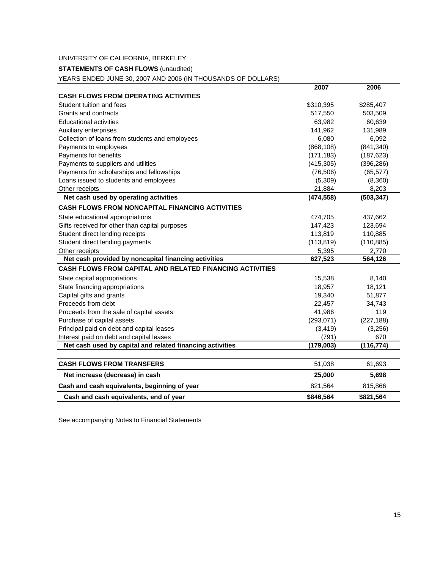### **STATEMENTS OF CASH FLOWS** (unaudited)

YEARS ENDED JUNE 30, 2007 AND 2006 (IN THOUSANDS OF DOLLARS)

|                                                                 | 2007       | 2006       |
|-----------------------------------------------------------------|------------|------------|
| <b>CASH FLOWS FROM OPERATING ACTIVITIES</b>                     |            |            |
| Student tuition and fees                                        | \$310,395  | \$285,407  |
| Grants and contracts                                            | 517,550    | 503,509    |
| <b>Educational activities</b>                                   | 63,982     | 60,639     |
| Auxiliary enterprises                                           | 141,962    | 131,989    |
| Collection of loans from students and employees                 | 6,080      | 6,092      |
| Payments to employees                                           | (868, 108) | (841, 340) |
| Payments for benefits                                           | (171, 183) | (187, 623) |
| Payments to suppliers and utilities                             | (415, 305) | (396, 286) |
| Payments for scholarships and fellowships                       | (76, 506)  | (65, 577)  |
| Loans issued to students and employees                          | (5,309)    | (8,360)    |
| Other receipts                                                  | 21,884     | 8,203      |
| Net cash used by operating activities                           | (474, 558) | (503, 347) |
| <b>CASH FLOWS FROM NONCAPITAL FINANCING ACTIVITIES</b>          |            |            |
| State educational appropriations                                | 474,705    | 437,662    |
| Gifts received for other than capital purposes                  | 147,423    | 123,694    |
| Student direct lending receipts                                 | 113,819    | 110,885    |
| Student direct lending payments                                 | (113, 819) | (110, 885) |
| Other receipts                                                  | 5,395      | 2,770      |
| Net cash provided by noncapital financing activities            | 627,523    | 564,126    |
| <b>CASH FLOWS FROM CAPITAL AND RELATED FINANCING ACTIVITIES</b> |            |            |
| State capital appropriations                                    | 15,538     | 8,140      |
| State financing appropriations                                  | 18,957     | 18,121     |
| Capital gifts and grants                                        | 19,340     | 51,877     |
| Proceeds from debt                                              | 22,457     | 34,743     |
| Proceeds from the sale of capital assets                        | 41,986     | 119        |
| Purchase of capital assets                                      | (293, 071) | (227, 188) |
| Principal paid on debt and capital leases                       | (3, 419)   | (3,256)    |
| Interest paid on debt and capital leases                        | (791)      | 670        |
| Net cash used by capital and related financing activities       | (179,003)  | (116, 774) |
|                                                                 |            |            |
| <b>CASH FLOWS FROM TRANSFERS</b>                                | 51,038     | 61,693     |
| Net increase (decrease) in cash                                 | 25,000     | 5,698      |
| Cash and cash equivalents, beginning of year                    | 821,564    | 815,866    |
| Cash and cash equivalents, end of year                          | \$846,564  | \$821,564  |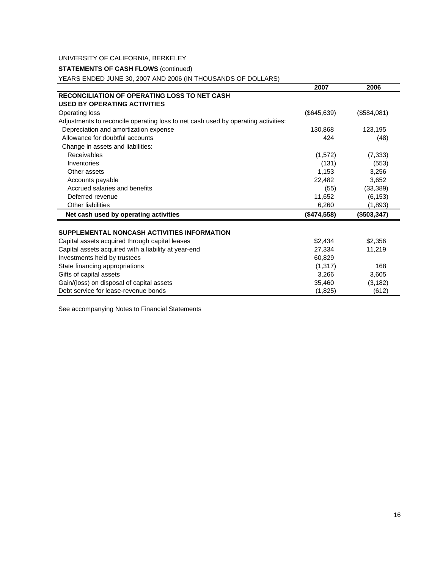### **STATEMENTS OF CASH FLOWS (continued)**

YEARS ENDED JUNE 30, 2007 AND 2006 (IN THOUSANDS OF DOLLARS)

| <b>RECONCILIATION OF OPERATING LOSS TO NET CASH</b><br><b>USED BY OPERATING ACTIVITIES</b><br>(\$645,639)<br>(\$584,081)<br>Operating loss<br>Adjustments to reconcile operating loss to net cash used by operating activities:<br>Depreciation and amortization expense<br>130,868<br>123,195<br>Allowance for doubtful accounts<br>424<br>(48)<br>Change in assets and liabilities:<br>Receivables<br>(1,572)<br>(7, 333)<br>(131)<br>Inventories<br>(553)<br>1,153<br>Other assets<br>3,256<br>22,482<br>3,652<br>Accounts payable<br>Accrued salaries and benefits<br>(33, 389)<br>(55)<br>11,652<br>Deferred revenue<br>(6, 153)<br>Other liabilities<br>6,260<br>(1,893)<br>Net cash used by operating activities<br>(\$474,558)<br>(\$503,347)<br>SUPPLEMENTAL NONCASH ACTIVITIES INFORMATION<br>\$2,434<br>\$2,356<br>Capital assets acquired through capital leases<br>Capital assets acquired with a liability at year-end<br>27,334<br>11,219<br>60,829<br>Investments held by trustees<br>(1, 317)<br>State financing appropriations<br>168<br>Gifts of capital assets<br>3,266<br>3.605<br>Gain/(loss) on disposal of capital assets<br>35,460<br>(3, 182)<br>Debt service for lease-revenue bonds<br>(1,825)<br>(612) | 2007 | 2006 |
|-------------------------------------------------------------------------------------------------------------------------------------------------------------------------------------------------------------------------------------------------------------------------------------------------------------------------------------------------------------------------------------------------------------------------------------------------------------------------------------------------------------------------------------------------------------------------------------------------------------------------------------------------------------------------------------------------------------------------------------------------------------------------------------------------------------------------------------------------------------------------------------------------------------------------------------------------------------------------------------------------------------------------------------------------------------------------------------------------------------------------------------------------------------------------------------------------------------------------------------|------|------|
|                                                                                                                                                                                                                                                                                                                                                                                                                                                                                                                                                                                                                                                                                                                                                                                                                                                                                                                                                                                                                                                                                                                                                                                                                                     |      |      |
|                                                                                                                                                                                                                                                                                                                                                                                                                                                                                                                                                                                                                                                                                                                                                                                                                                                                                                                                                                                                                                                                                                                                                                                                                                     |      |      |
|                                                                                                                                                                                                                                                                                                                                                                                                                                                                                                                                                                                                                                                                                                                                                                                                                                                                                                                                                                                                                                                                                                                                                                                                                                     |      |      |
|                                                                                                                                                                                                                                                                                                                                                                                                                                                                                                                                                                                                                                                                                                                                                                                                                                                                                                                                                                                                                                                                                                                                                                                                                                     |      |      |
|                                                                                                                                                                                                                                                                                                                                                                                                                                                                                                                                                                                                                                                                                                                                                                                                                                                                                                                                                                                                                                                                                                                                                                                                                                     |      |      |
|                                                                                                                                                                                                                                                                                                                                                                                                                                                                                                                                                                                                                                                                                                                                                                                                                                                                                                                                                                                                                                                                                                                                                                                                                                     |      |      |
|                                                                                                                                                                                                                                                                                                                                                                                                                                                                                                                                                                                                                                                                                                                                                                                                                                                                                                                                                                                                                                                                                                                                                                                                                                     |      |      |
|                                                                                                                                                                                                                                                                                                                                                                                                                                                                                                                                                                                                                                                                                                                                                                                                                                                                                                                                                                                                                                                                                                                                                                                                                                     |      |      |
|                                                                                                                                                                                                                                                                                                                                                                                                                                                                                                                                                                                                                                                                                                                                                                                                                                                                                                                                                                                                                                                                                                                                                                                                                                     |      |      |
|                                                                                                                                                                                                                                                                                                                                                                                                                                                                                                                                                                                                                                                                                                                                                                                                                                                                                                                                                                                                                                                                                                                                                                                                                                     |      |      |
|                                                                                                                                                                                                                                                                                                                                                                                                                                                                                                                                                                                                                                                                                                                                                                                                                                                                                                                                                                                                                                                                                                                                                                                                                                     |      |      |
|                                                                                                                                                                                                                                                                                                                                                                                                                                                                                                                                                                                                                                                                                                                                                                                                                                                                                                                                                                                                                                                                                                                                                                                                                                     |      |      |
|                                                                                                                                                                                                                                                                                                                                                                                                                                                                                                                                                                                                                                                                                                                                                                                                                                                                                                                                                                                                                                                                                                                                                                                                                                     |      |      |
|                                                                                                                                                                                                                                                                                                                                                                                                                                                                                                                                                                                                                                                                                                                                                                                                                                                                                                                                                                                                                                                                                                                                                                                                                                     |      |      |
|                                                                                                                                                                                                                                                                                                                                                                                                                                                                                                                                                                                                                                                                                                                                                                                                                                                                                                                                                                                                                                                                                                                                                                                                                                     |      |      |
|                                                                                                                                                                                                                                                                                                                                                                                                                                                                                                                                                                                                                                                                                                                                                                                                                                                                                                                                                                                                                                                                                                                                                                                                                                     |      |      |
|                                                                                                                                                                                                                                                                                                                                                                                                                                                                                                                                                                                                                                                                                                                                                                                                                                                                                                                                                                                                                                                                                                                                                                                                                                     |      |      |
|                                                                                                                                                                                                                                                                                                                                                                                                                                                                                                                                                                                                                                                                                                                                                                                                                                                                                                                                                                                                                                                                                                                                                                                                                                     |      |      |
|                                                                                                                                                                                                                                                                                                                                                                                                                                                                                                                                                                                                                                                                                                                                                                                                                                                                                                                                                                                                                                                                                                                                                                                                                                     |      |      |
|                                                                                                                                                                                                                                                                                                                                                                                                                                                                                                                                                                                                                                                                                                                                                                                                                                                                                                                                                                                                                                                                                                                                                                                                                                     |      |      |
|                                                                                                                                                                                                                                                                                                                                                                                                                                                                                                                                                                                                                                                                                                                                                                                                                                                                                                                                                                                                                                                                                                                                                                                                                                     |      |      |
|                                                                                                                                                                                                                                                                                                                                                                                                                                                                                                                                                                                                                                                                                                                                                                                                                                                                                                                                                                                                                                                                                                                                                                                                                                     |      |      |
|                                                                                                                                                                                                                                                                                                                                                                                                                                                                                                                                                                                                                                                                                                                                                                                                                                                                                                                                                                                                                                                                                                                                                                                                                                     |      |      |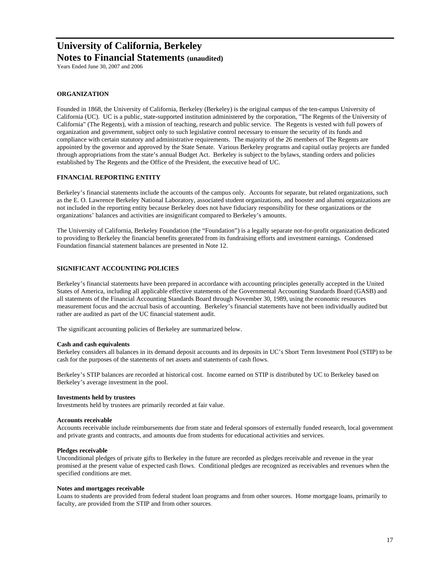**Notes to Financial Statements (unaudited)**

Years Ended June 30, 2007 and 2006

#### **ORGANIZATION**

Founded in 1868, the University of California, Berkeley (Berkeley) is the original campus of the ten-campus University of California (UC). UC is a public, state-supported institution administered by the corporation, "The Regents of the University of California" (The Regents), with a mission of teaching, research and public service. The Regents is vested with full powers of organization and government, subject only to such legislative control necessary to ensure the security of its funds and compliance with certain statutory and administrative requirements. The majority of the 26 members of The Regents are appointed by the governor and approved by the State Senate. Various Berkeley programs and capital outlay projects are funded through appropriations from the state's annual Budget Act. Berkeley is subject to the bylaws, standing orders and policies established by The Regents and the Office of the President, the executive head of UC.

#### **FINANCIAL REPORTING ENTITY**

Berkeley's financial statements include the accounts of the campus only. Accounts for separate, but related organizations, such as the E. O. Lawrence Berkeley National Laboratory, associated student organizations, and booster and alumni organizations are not included in the reporting entity because Berkeley does not have fiduciary responsibility for these organizations or the organizations' balances and activities are insignificant compared to Berkeley's amounts.

The University of California, Berkeley Foundation (the "Foundation") is a legally separate not-for-profit organization dedicated to providing to Berkeley the financial benefits generated from its fundraising efforts and investment earnings. Condensed Foundation financial statement balances are presented in Note 12.

#### **SIGNIFICANT ACCOUNTING POLICIES**

Berkeley's financial statements have been prepared in accordance with accounting principles generally accepted in the United States of America, including all applicable effective statements of the Governmental Accounting Standards Board (GASB) and all statements of the Financial Accounting Standards Board through November 30, 1989, using the economic resources measurement focus and the accrual basis of accounting. Berkeley's financial statements have not been individually audited but rather are audited as part of the UC financial statement audit.

The significant accounting policies of Berkeley are summarized below.

#### **Cash and cash equivalents**

Berkeley considers all balances in its demand deposit accounts and its deposits in UC's Short Term Investment Pool (STIP) to be cash for the purposes of the statements of net assets and statements of cash flows.

Berkeley's STIP balances are recorded at historical cost. Income earned on STIP is distributed by UC to Berkeley based on Berkeley's average investment in the pool.

#### **Investments held by trustees**

Investments held by trustees are primarily recorded at fair value.

#### **Accounts receivable**

Accounts receivable include reimbursements due from state and federal sponsors of externally funded research, local government and private grants and contracts, and amounts due from students for educational activities and services.

#### **Pledges receivable**

Unconditional pledges of private gifts to Berkeley in the future are recorded as pledges receivable and revenue in the year promised at the present value of expected cash flows. Conditional pledges are recognized as receivables and revenues when the specified conditions are met.

#### **Notes and mortgages receivable**

Loans to students are provided from federal student loan programs and from other sources. Home mortgage loans, primarily to faculty, are provided from the STIP and from other sources.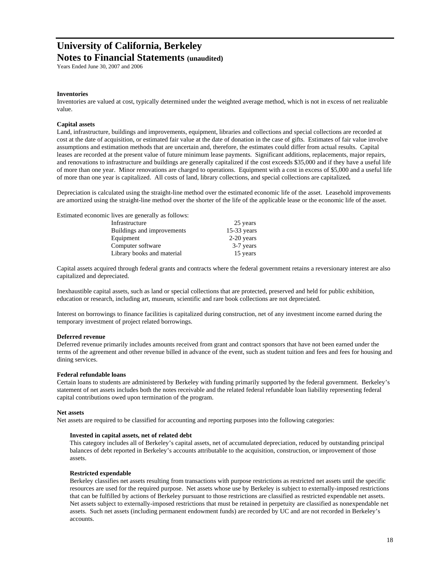## **Notes to Financial Statements (unaudited)**

Years Ended June 30, 2007 and 2006

#### **Inventories**

Inventories are valued at cost, typically determined under the weighted average method, which is not in excess of net realizable value.

#### **Capital assets**

Land, infrastructure, buildings and improvements, equipment, libraries and collections and special collections are recorded at cost at the date of acquisition, or estimated fair value at the date of donation in the case of gifts. Estimates of fair value involve assumptions and estimation methods that are uncertain and, therefore, the estimates could differ from actual results. Capital leases are recorded at the present value of future minimum lease payments. Significant additions, replacements, major repairs, and renovations to infrastructure and buildings are generally capitalized if the cost exceeds \$35,000 and if they have a useful life of more than one year. Minor renovations are charged to operations. Equipment with a cost in excess of \$5,000 and a useful life of more than one year is capitalized. All costs of land, library collections, and special collections are capitalized**.** 

Depreciation is calculated using the straight-line method over the estimated economic life of the asset. Leasehold improvements are amortized using the straight-line method over the shorter of the life of the applicable lease or the economic life of the asset.

| Estimated economic lives are generally as follows: |                            |               |
|----------------------------------------------------|----------------------------|---------------|
|                                                    | Infrastructure             | 25 years      |
|                                                    | Buildings and improvements | $15-33$ years |
|                                                    | Equipment                  | $2-20$ years  |
|                                                    | Computer software          | 3-7 years     |
|                                                    | Library books and material | 15 years      |

Capital assets acquired through federal grants and contracts where the federal government retains a reversionary interest are also capitalized and depreciated.

Inexhaustible capital assets, such as land or special collections that are protected, preserved and held for public exhibition, education or research, including art, museum, scientific and rare book collections are not depreciated.

Interest on borrowings to finance facilities is capitalized during construction, net of any investment income earned during the temporary investment of project related borrowings.

#### **Deferred revenue**

Deferred revenue primarily includes amounts received from grant and contract sponsors that have not been earned under the terms of the agreement and other revenue billed in advance of the event, such as student tuition and fees and fees for housing and dining services.

#### **Federal refundable loans**

Certain loans to students are administered by Berkeley with funding primarily supported by the federal government. Berkeley's statement of net assets includes both the notes receivable and the related federal refundable loan liability representing federal capital contributions owed upon termination of the program.

#### **Net assets**

Net assets are required to be classified for accounting and reporting purposes into the following categories:

#### **Invested in capital assets, net of related debt**

This category includes all of Berkeley's capital assets, net of accumulated depreciation, reduced by outstanding principal balances of debt reported in Berkeley's accounts attributable to the acquisition, construction, or improvement of those assets.

#### **Restricted expendable**

Berkeley classifies net assets resulting from transactions with purpose restrictions as restricted net assets until the specific resources are used for the required purpose. Net assets whose use by Berkeley is subject to externally-imposed restrictions that can be fulfilled by actions of Berkeley pursuant to those restrictions are classified as restricted expendable net assets. Net assets subject to externally-imposed restrictions that must be retained in perpetuity are classified as nonexpendable net assets. Such net assets (including permanent endowment funds) are recorded by UC and are not recorded in Berkeley's accounts.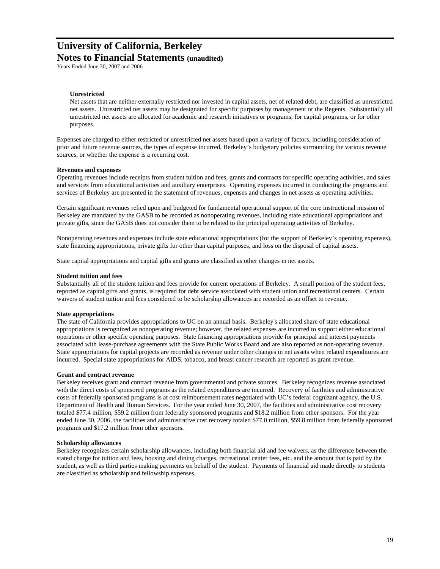## **Notes to Financial Statements (unaudited)**

Years Ended June 30, 2007 and 2006

#### **Unrestricted**

Net assets that are neither externally restricted nor invested in capital assets, net of related debt, are classified as unrestricted net assets. Unrestricted net assets may be designated for specific purposes by management or the Regents. Substantially all unrestricted net assets are allocated for academic and research initiatives or programs, for capital programs, or for other purposes.

Expenses are charged to either restricted or unrestricted net assets based upon a variety of factors, including consideration of prior and future revenue sources, the types of expense incurred, Berkeley's budgetary policies surrounding the various revenue sources, or whether the expense is a recurring cost.

#### **Revenues and expenses**

Operating revenues include receipts from student tuition and fees, grants and contracts for specific operating activities, and sales and services from educational activities and auxiliary enterprises. Operating expenses incurred in conducting the programs and services of Berkeley are presented in the statement of revenues, expenses and changes in net assets as operating activities.

Certain significant revenues relied upon and budgeted for fundamental operational support of the core instructional mission of Berkeley are mandated by the GASB to be recorded as nonoperating revenues, including state educational appropriations and private gifts, since the GASB does not consider them to be related to the principal operating activities of Berkeley.

Nonoperating revenues and expenses include state educational appropriations (for the support of Berkeley's operating expenses), state financing appropriations, private gifts for other than capital purposes, and loss on the disposal of capital assets.

State capital appropriations and capital gifts and grants are classified as other changes in net assets.

#### **Student tuition and fees**

Substantially all of the student tuition and fees provide for current operations of Berkeley. A small portion of the student fees, reported as capital gifts and grants, is required for debt service associated with student union and recreational centers. Certain waivers of student tuition and fees considered to be scholarship allowances are recorded as an offset to revenue.

#### **State appropriations**

The state of California provides appropriations to UC on an annual basis. Berkeley's allocated share of state educational appropriations is recognized as nonoperating revenue; however, the related expenses are incurred to support either educational operations or other specific operating purposes. State financing appropriations provide for principal and interest payments associated with lease-purchase agreements with the State Public Works Board and are also reported as non-operating revenue. State appropriations for capital projects are recorded as revenue under other changes in net assets when related expenditures are incurred. Special state appropriations for AIDS, tobacco, and breast cancer research are reported as grant revenue.

#### **Grant and contract revenue**

Berkeley receives grant and contract revenue from governmental and private sources. Berkeley recognizes revenue associated with the direct costs of sponsored programs as the related expenditures are incurred. Recovery of facilities and administrative costs of federally sponsored programs is at cost reimbursement rates negotiated with UC's federal cognizant agency, the U.S. Department of Health and Human Services. For the year ended June 30, 2007, the facilities and administrative cost recovery totaled \$77.4 million, \$59.2 million from federally sponsored programs and \$18.2 million from other sponsors. For the year ended June 30, 2006, the facilities and administrative cost recovery totaled \$77.0 million, \$59.8 million from federally sponsored programs and \$17.2 million from other sponsors.

#### **Scholarship allowances**

Berkeley recognizes certain scholarship allowances, including both financial aid and fee waivers, as the difference between the stated charge for tuition and fees, housing and dining charges, recreational center fees, etc. and the amount that is paid by the student, as well as third parties making payments on behalf of the student. Payments of financial aid made directly to students are classified as scholarship and fellowship expenses.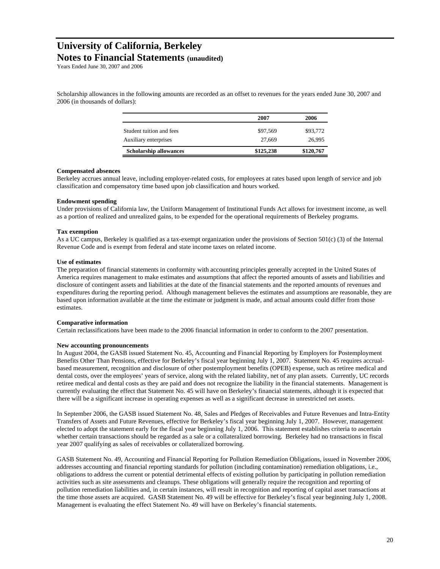## **Notes to Financial Statements (unaudited)**

Years Ended June 30, 2007 and 2006

Scholarship allowances in the following amounts are recorded as an offset to revenues for the years ended June 30, 2007 and 2006 (in thousands of dollars):

|                               | 2007      | 2006      |
|-------------------------------|-----------|-----------|
| Student tuition and fees      | \$97,569  | \$93,772  |
| Auxiliary enterprises         | 27,669    | 26,995    |
| <b>Scholarship allowances</b> | \$125,238 | \$120,767 |

#### **Compensated absences**

Berkeley accrues annual leave, including employer-related costs, for employees at rates based upon length of service and job classification and compensatory time based upon job classification and hours worked.

#### **Endowment spending**

Under provisions of California law, the Uniform Management of Institutional Funds Act allows for investment income, as well as a portion of realized and unrealized gains, to be expended for the operational requirements of Berkeley programs.

#### **Tax exemption**

As a UC campus, Berkeley is qualified as a tax-exempt organization under the provisions of Section  $501(c)$  (3) of the Internal Revenue Code and is exempt from federal and state income taxes on related income.

#### **Use of estimates**

The preparation of financial statements in conformity with accounting principles generally accepted in the United States of America requires management to make estimates and assumptions that affect the reported amounts of assets and liabilities and disclosure of contingent assets and liabilities at the date of the financial statements and the reported amounts of revenues and expenditures during the reporting period. Although management believes the estimates and assumptions are reasonable, they are based upon information available at the time the estimate or judgment is made, and actual amounts could differ from those estimates.

#### **Comparative information**

Certain reclassifications have been made to the 2006 financial information in order to conform to the 2007 presentation.

#### **New accounting pronouncements**

In August 2004, the GASB issued Statement No. 45, Accounting and Financial Reporting by Employers for Postemployment Benefits Other Than Pensions, effective for Berkeley's fiscal year beginning July 1, 2007. Statement No. 45 requires accrualbased measurement, recognition and disclosure of other postemployment benefits (OPEB) expense, such as retiree medical and dental costs, over the employees' years of service, along with the related liability, net of any plan assets. Currently, UC records retiree medical and dental costs as they are paid and does not recognize the liability in the financial statements. Management is currently evaluating the effect that Statement No. 45 will have on Berkeley's financial statements, although it is expected that there will be a significant increase in operating expenses as well as a significant decrease in unrestricted net assets.

In September 2006, the GASB issued Statement No. 48, Sales and Pledges of Receivables and Future Revenues and Intra-Entity Transfers of Assets and Future Revenues, effective for Berkeley's fiscal year beginning July 1, 2007. However, management elected to adopt the statement early for the fiscal year beginning July 1, 2006. This statement establishes criteria to ascertain whether certain transactions should be regarded as a sale or a collateralized borrowing. Berkeley had no transactions in fiscal year 2007 qualifying as sales of receivables or collateralized borrowing.

GASB Statement No. 49, Accounting and Financial Reporting for Pollution Remediation Obligations, issued in November 2006, addresses accounting and financial reporting standards for pollution (including contamination) remediation obligations, i.e., obligations to address the current or potential detrimental effects of existing pollution by participating in pollution remediation activities such as site assessments and cleanups. These obligations will generally require the recognition and reporting of pollution remediation liabilities and, in certain instances, will result in recognition and reporting of capital asset transactions at the time those assets are acquired. GASB Statement No. 49 will be effective for Berkeley's fiscal year beginning July 1, 2008. Management is evaluating the effect Statement No. 49 will have on Berkeley's financial statements.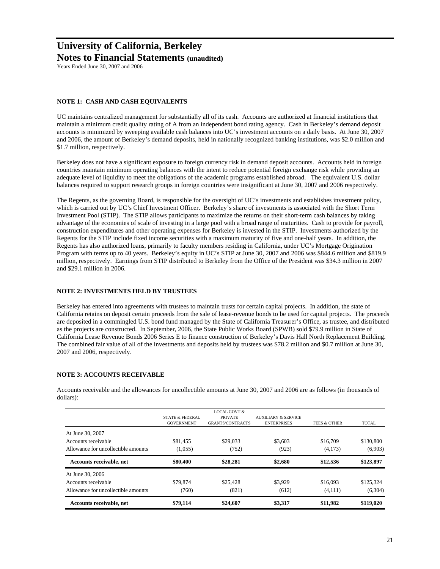## **University of California, Berkeley Notes to Financial Statements (unaudited)**

Years Ended June 30, 2007 and 2006

#### **NOTE 1: CASH AND CASH EQUIVALENTS**

UC maintains centralized management for substantially all of its cash. Accounts are authorized at financial institutions that maintain a minimum credit quality rating of A from an independent bond rating agency. Cash in Berkeley's demand deposit accounts is minimized by sweeping available cash balances into UC's investment accounts on a daily basis. At June 30, 2007 and 2006, the amount of Berkeley's demand deposits, held in nationally recognized banking institutions, was \$2.0 million and \$1.7 million, respectively.

Berkeley does not have a significant exposure to foreign currency risk in demand deposit accounts. Accounts held in foreign countries maintain minimum operating balances with the intent to reduce potential foreign exchange risk while providing an adequate level of liquidity to meet the obligations of the academic programs established abroad. The equivalent U.S. dollar balances required to support research groups in foreign countries were insignificant at June 30, 2007 and 2006 respectively.

The Regents, as the governing Board, is responsible for the oversight of UC's investments and establishes investment policy, which is carried out by UC's Chief Investment Officer. Berkeley's share of investments is associated with the Short Term Investment Pool (STIP). The STIP allows participants to maximize the returns on their short-term cash balances by taking advantage of the economies of scale of investing in a large pool with a broad range of maturities. Cash to provide for payroll, construction expenditures and other operating expenses for Berkeley is invested in the STIP. Investments authorized by the Regents for the STIP include fixed income securities with a maximum maturity of five and one-half years. In addition, the Regents has also authorized loans, primarily to faculty members residing in California, under UC's Mortgage Origination Program with terms up to 40 years. Berkeley's equity in UC's STIP at June 30, 2007 and 2006 was \$844.6 million and \$819.9 million, respectively. Earnings from STIP distributed to Berkeley from the Office of the President was \$34.3 million in 2007 and \$29.1 million in 2006.

#### **NOTE 2: INVESTMENTS HELD BY TRUSTEES**

Berkeley has entered into agreements with trustees to maintain trusts for certain capital projects. In addition, the state of California retains on deposit certain proceeds from the sale of lease-revenue bonds to be used for capital projects. The proceeds are deposited in a commingled U.S. bond fund managed by the State of California Treasurer's Office, as trustee, and distributed as the projects are constructed. In September, 2006, the State Public Works Board (SPWB) sold \$79.9 million in State of California Lease Revenue Bonds 2006 Series E to finance construction of Berkeley's Davis Hall North Replacement Building. The combined fair value of all of the investments and deposits held by trustees was \$78.2 million and \$0.7 million at June 30, 2007 and 2006, respectively.

#### **NOTE 3: ACCOUNTS RECEIVABLE**

Accounts receivable and the allowances for uncollectible amounts at June 30, 2007 and 2006 are as follows (in thousands of dollars):

| Accounts receivable, net                                   | \$79,114                                        | \$24,607                                                             | \$3,317                                              | \$11,982                | \$119,020            |
|------------------------------------------------------------|-------------------------------------------------|----------------------------------------------------------------------|------------------------------------------------------|-------------------------|----------------------|
| Allowance for uncollectible amounts                        | (760)                                           | (821)                                                                | (612)                                                | (4,111)                 | (6,304)              |
| At June 30, 2006<br>Accounts receivable                    | \$79,874                                        | \$25,428                                                             | \$3.929                                              | \$16,093                | \$125,324            |
| Accounts receivable, net                                   | \$80,400                                        | \$28,281                                                             | \$2,680                                              | \$12,536                | \$123,897            |
| Accounts receivable<br>Allowance for uncollectible amounts | \$81.455<br>(1,055)                             | \$29,033<br>(752)                                                    | \$3,603<br>(923)                                     | \$16,709<br>(4,173)     | \$130,800<br>(6,903) |
| At June 30, 2007                                           |                                                 |                                                                      |                                                      |                         |                      |
|                                                            | <b>STATE &amp; FEDERAL</b><br><b>GOVERNMENT</b> | <b>LOCAL GOVT &amp;</b><br><b>PRIVATE</b><br><b>GRANTS/CONTRACTS</b> | <b>AUXILIARY &amp; SERVICE</b><br><b>ENTERPRISES</b> | <b>FEES &amp; OTHER</b> | <b>TOTAL</b>         |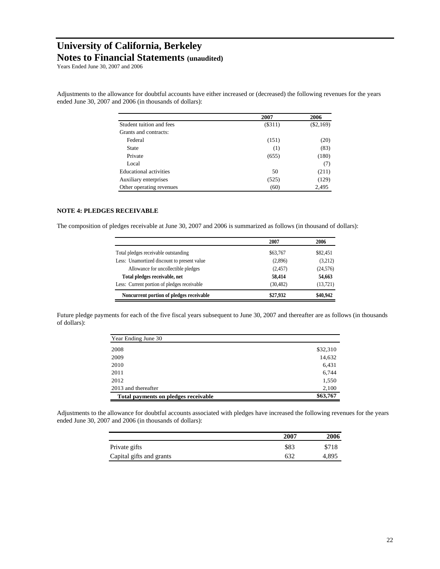**Notes to Financial Statements (unaudited)**

Years Ended June 30, 2007 and 2006

Adjustments to the allowance for doubtful accounts have either increased or (decreased) the following revenues for the years ended June 30, 2007 and 2006 (in thousands of dollars):

|                          | 2007     | 2006        |
|--------------------------|----------|-------------|
| Student tuition and fees | ( \$311) | $(\$2,169)$ |
| Grants and contracts:    |          |             |
| Federal                  | (151)    | (20)        |
| State                    | (1)      | (83)        |
| Private                  | (655)    | (180)       |
| Local                    |          | (7)         |
| Educational activities   | 50       | (211)       |
| Auxiliary enterprises    | (525)    | (129)       |
| Other operating revenues | (60)     | 2,495       |

#### **NOTE 4: PLEDGES RECEIVABLE**

The composition of pledges receivable at June 30, 2007 and 2006 is summarized as follows (in thousand of dollars):

|                                             | 2007      | 2006      |
|---------------------------------------------|-----------|-----------|
| Total pledges receivable outstanding        | \$63,767  | \$82,451  |
| Less: Unamortized discount to present value | (2,896)   | (3,212)   |
| Allowance for uncollectible pledges         | (2,457)   | (24, 576) |
| Total pledges receivable, net               | 58,414    | 54,663    |
| Less: Current portion of pledges receivable | (30, 482) | (13, 721) |
| Noncurrent portion of pledges receivable    | \$27,932  | \$40,942  |

Future pledge payments for each of the five fiscal years subsequent to June 30, 2007 and thereafter are as follows (in thousands of dollars):

| Year Ending June 30                  |          |
|--------------------------------------|----------|
| 2008                                 | \$32,310 |
| 2009                                 | 14,632   |
| 2010                                 | 6,431    |
| 2011                                 | 6,744    |
| 2012                                 | 1,550    |
| 2013 and thereafter                  | 2,100    |
| Total payments on pledges receivable | \$63,767 |

Adjustments to the allowance for doubtful accounts associated with pledges have increased the following revenues for the years ended June 30, 2007 and 2006 (in thousands of dollars):

|                          | 2007 | 2006  |
|--------------------------|------|-------|
| Private gifts            | \$83 | \$718 |
| Capital gifts and grants | 632  | 4.895 |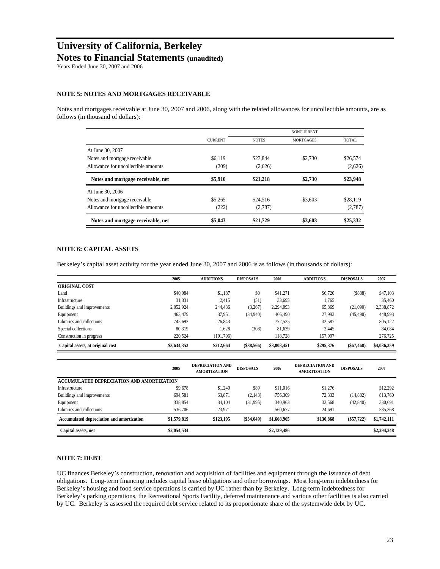### **Notes to Financial Statements (unaudited)**

Years Ended June 30, 2007 and 2006

#### **NOTE 5: NOTES AND MORTGAGES RECEIVABLE**

Notes and mortgages receivable at June 30, 2007 and 2006, along with the related allowances for uncollectible amounts, are as follows (in thousand of dollars):

|                                     |                |              | <b>NONCURRENT</b> |              |
|-------------------------------------|----------------|--------------|-------------------|--------------|
|                                     | <b>CURRENT</b> | <b>NOTES</b> | <b>MORTGAGES</b>  | <b>TOTAL</b> |
| At June 30, 2007                    |                |              |                   |              |
| Notes and mortgage receivable       | \$6,119        | \$23,844     | \$2,730           | \$26,574     |
| Allowance for uncollectible amounts | (209)          | (2,626)      |                   | (2,626)      |
| Notes and mortgage receivable, net  | \$5,910        | \$21,218     | \$2,730           | \$23,948     |
| At June 30, 2006                    |                |              |                   |              |
| Notes and mortgage receivable       | \$5,265        | \$24,516     | \$3,603           | \$28,119     |
| Allowance for uncollectible amounts | (222)          | (2,787)      |                   | (2,787)      |
| Notes and mortgage receivable, net  | \$5,043        | \$21,729     | \$3,603           | \$25,332     |

#### **NOTE 6: CAPITAL ASSETS**

Berkeley's capital asset activity for the year ended June 30, 2007 and 2006 is as follows (in thousands of dollars):

|                                  | 2005        | <b>ADDITIONS</b> | <b>DISPOSALS</b> | 2006        | <b>ADDITIONS</b> | <b>DISPOSALS</b> | 2007        |
|----------------------------------|-------------|------------------|------------------|-------------|------------------|------------------|-------------|
| <b>ORIGINAL COST</b>             |             |                  |                  |             |                  |                  |             |
| Land                             | \$40,084    | \$1,187          | \$0              | \$41,271    | \$6,720          | (S888)           | \$47,103    |
| Infrastructure                   | 31,331      | 2,415            | (51)             | 33.695      | 1,765            |                  | 35,460      |
| Buildings and improvements       | 2.052.924   | 244,436          | (3,267)          | 2,294,093   | 65,869           | (21,090)         | 2,338,872   |
| Equipment                        | 463.479     | 37.951           | (34,940)         | 466,490     | 27,993           | (45, 490)        | 448,993     |
| Libraries and collections        | 745,692     | 26,843           |                  | 772,535     | 32,587           |                  | 805,122     |
| Special collections              | 80.319      | 1.628            | (308)            | 81.639      | 2.445            |                  | 84.084      |
| Construction in progress         | 220.524     | (101, 796)       |                  | 118,728     | 157,997          |                  | 276,725     |
| Capital assets, at original cost | \$3,634,353 | \$212,664        | (\$38,566)       | \$3,808,451 | \$295,376        | ( \$67, 468)     | \$4,036,359 |

|                                           | 2005        | <b>DEPRECIATION AND</b><br><b>AMORTIZATION</b> | <b>DISPOSALS</b> | 2006        | <b>DEPRECIATION AND</b><br><b>AMORTIZATION</b> | <b>DISPOSALS</b> | 2007        |
|-------------------------------------------|-------------|------------------------------------------------|------------------|-------------|------------------------------------------------|------------------|-------------|
| ACCUMULATED DEPRECIATION AND AMORTIZATION |             |                                                |                  |             |                                                |                  |             |
| Infrastructure                            | \$9,678     | \$1.249                                        | \$89             | \$11,016    | \$1,276                                        |                  | \$12,292    |
| Buildings and improvements                | 694,581     | 63,871                                         | (2,143)          | 756,309     | 72,333                                         | (14, 882)        | 813,760     |
| Equipment                                 | 338,854     | 34.104                                         | (31,995)         | 340,963     | 32.568                                         | (42, 840)        | 330,691     |
| Libraries and collections                 | 536,706     | 23.971                                         |                  | 560,677     | 24.691                                         |                  | 585,368     |
| Accumulated depreciation and amortization | \$1,579,819 | \$123,195                                      | (S34.049)        | \$1,668,965 | \$130,868                                      | $(\$57,722)$     | \$1,742,111 |
| Capital assets, net                       | \$2,054,534 |                                                |                  | \$2,139,486 |                                                |                  | \$2,294,248 |

#### **NOTE 7: DEBT**

UC finances Berkeley's construction, renovation and acquisition of facilities and equipment through the issuance of debt obligations. Long-term financing includes capital lease obligations and other borrowings. Most long-term indebtedness for Berkeley's housing and food service operations is carried by UC rather than by Berkeley. Long-term indebtedness for Berkeley's parking operations, the Recreational Sports Facility, deferred maintenance and various other facilities is also carried by UC. Berkeley is assessed the required debt service related to its proportionate share of the systemwide debt by UC.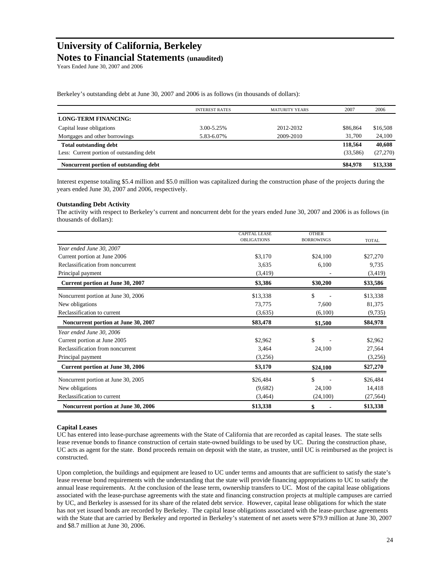## **Notes to Financial Statements (unaudited)**

Years Ended June 30, 2007 and 2006

Berkeley's outstanding debt at June 30, 2007 and 2006 is as follows (in thousands of dollars):

| Noncurrent portion of outstanding debt    |                       |                       | \$84,978  | \$13,338 |
|-------------------------------------------|-----------------------|-----------------------|-----------|----------|
| Less: Current portion of outstanding debt |                       |                       | (33, 586) | (27,270) |
| <b>Total outstanding debt</b>             |                       |                       | 118,564   | 40,608   |
| Mortgages and other borrowings            | 5.83-6.07%            | 2009-2010             | 31.700    | 24,100   |
| Capital lease obligations                 | 3.00-5.25%            | 2012-2032             | \$86,864  | \$16,508 |
| <b>LONG-TERM FINANCING:</b>               |                       |                       |           |          |
|                                           | <b>INTEREST RATES</b> | <b>MATURITY YEARS</b> | 2007      | 2006     |
|                                           |                       |                       |           |          |

Interest expense totaling \$5.4 million and \$5.0 million was capitalized during the construction phase of the projects during the years ended June 30, 2007 and 2006, respectively.

#### **Outstanding Debt Activity**

The activity with respect to Berkeley's current and noncurrent debt for the years ended June 30, 2007 and 2006 is as follows (in thousands of dollars):

|                                         | <b>CAPITAL LEASE</b> | <b>OTHER</b>      |              |
|-----------------------------------------|----------------------|-------------------|--------------|
|                                         | <b>OBLIGATIONS</b>   | <b>BORROWINGS</b> | <b>TOTAL</b> |
| Year ended June 30, 2007                |                      |                   |              |
| Current portion at June 2006            | \$3,170              | \$24,100          | \$27,270     |
| Reclassification from noncurrent        | 3,635                | 6,100             | 9,735        |
| Principal payment                       | (3, 419)             |                   | (3,419)      |
| Current portion at June 30, 2007        | \$3,386              | \$30,200          | \$33,586     |
| Noncurrent portion at June 30, 2006     | \$13,338             | \$                | \$13,338     |
| New obligations                         | 73,775               | 7,600             | 81,375       |
| Reclassification to current             | (3,635)              | (6,100)           | (9, 735)     |
| Noncurrent portion at June 30, 2007     | \$83,478             | \$1,500           | \$84,978     |
| Year ended June 30, 2006                |                      |                   |              |
| Current portion at June 2005            | \$2,962              | \$                | \$2,962      |
| Reclassification from noncurrent        | 3,464                | 24,100            | 27,564       |
| Principal payment                       | (3,256)              |                   | (3,256)      |
| <b>Current portion at June 30, 2006</b> | \$3,170              | \$24,100          | \$27,270     |
| Noncurrent portion at June 30, 2005     | \$26,484             | \$                | \$26,484     |
| New obligations                         | (9,682)              | 24,100            | 14,418       |
| Reclassification to current             | (3,464)              | (24,100)          | (27, 564)    |
| Noncurrent portion at June 30, 2006     | \$13,338             | \$                | \$13,338     |

#### **Capital Leases**

UC has entered into lease-purchase agreements with the State of California that are recorded as capital leases. The state sells lease revenue bonds to finance construction of certain state-owned buildings to be used by UC. During the construction phase, UC acts as agent for the state. Bond proceeds remain on deposit with the state, as trustee, until UC is reimbursed as the project is constructed.

Upon completion, the buildings and equipment are leased to UC under terms and amounts that are sufficient to satisfy the state's lease revenue bond requirements with the understanding that the state will provide financing appropriations to UC to satisfy the annual lease requirements. At the conclusion of the lease term, ownership transfers to UC. Most of the capital lease obligations associated with the lease-purchase agreements with the state and financing construction projects at multiple campuses are carried by UC, and Berkeley is assessed for its share of the related debt service. However, capital lease obligations for which the state has not yet issued bonds are recorded by Berkeley. The capital lease obligations associated with the lease-purchase agreements with the State that are carried by Berkeley and reported in Berkeley's statement of net assets were \$79.9 million at June 30, 2007 and \$8.7 million at June 30, 2006.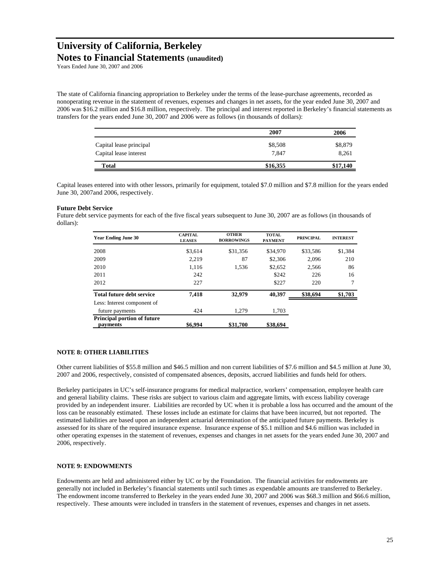**Notes to Financial Statements (unaudited)**

Years Ended June 30, 2007 and 2006

The state of California financing appropriation to Berkeley under the terms of the lease-purchase agreements, recorded as nonoperating revenue in the statement of revenues, expenses and changes in net assets, for the year ended June 30, 2007 and 2006 was \$16.2 million and \$16.8 million, respectively. The principal and interest reported in Berkeley's financial statements as transfers for the years ended June 30, 2007 and 2006 were as follows (in thousands of dollars):

|                         | 2007     | 2006     |
|-------------------------|----------|----------|
| Capital lease principal | \$8,508  | \$8,879  |
| Capital lease interest  | 7.847    | 8,261    |
| Total                   | \$16,355 | \$17,140 |

Capital leases entered into with other lessors, primarily for equipment, totaled \$7.0 million and \$7.8 million for the years ended June 30, 2007and 2006, respectively.

#### **Future Debt Service**

Future debt service payments for each of the five fiscal years subsequent to June 30, 2007 are as follows (in thousands of dollars):

| <b>Year Ending June 30</b>                     | <b>CAPITAL</b><br><b>LEASES</b> | <b>OTHER</b><br><b>BORROWINGS</b> | <b>TOTAL</b><br><b>PAYMENT</b> | <b>PRINCIPAL</b> | <b>INTEREST</b> |
|------------------------------------------------|---------------------------------|-----------------------------------|--------------------------------|------------------|-----------------|
| 2008                                           | \$3,614                         | \$31,356                          | \$34,970                       | \$33,586         | \$1,384         |
| 2009                                           | 2.219                           | 87                                | \$2,306                        | 2.096            | 210             |
| 2010                                           | 1.116                           | 1.536                             | \$2,652                        | 2.566            | 86              |
| 2011                                           | 242                             |                                   | \$242                          | 226              | 16              |
| 2012                                           | 227                             |                                   | \$227                          | 220              | $\tau$          |
| <b>Total future debt service</b>               | 7.418                           | 32,979                            | 40.397                         | \$38,694         | \$1,703         |
| Less: Interest component of                    |                                 |                                   |                                |                  |                 |
| future payments                                | 424                             | 1.279                             | 1,703                          |                  |                 |
| <b>Principal portion of future</b><br>payments | \$6,994                         | \$31,700                          | \$38,694                       |                  |                 |

#### **NOTE 8: OTHER LIABILITIES**

Other current liabilities of \$55.8 million and \$46.5 million and non current liabilities of \$7.6 million and \$4.5 million at June 30, 2007 and 2006, respectively, consisted of compensated absences, deposits, accrued liabilities and funds held for others.

Berkeley participates in UC's self-insurance programs for medical malpractice, workers' compensation, employee health care and general liability claims. These risks are subject to various claim and aggregate limits, with excess liability coverage provided by an independent insurer. Liabilities are recorded by UC when it is probable a loss has occurred and the amount of the loss can be reasonably estimated. These losses include an estimate for claims that have been incurred, but not reported. The estimated liabilities are based upon an independent actuarial determination of the anticipated future payments. Berkeley is assessed for its share of the required insurance expense. Insurance expense of \$5.1 million and \$4.6 million was included in other operating expenses in the statement of revenues, expenses and changes in net assets for the years ended June 30, 2007 and 2006, respectively.

#### **NOTE 9: ENDOWMENTS**

Endowments are held and administered either by UC or by the Foundation. The financial activities for endowments are generally not included in Berkeley's financial statements until such times as expendable amounts are transferred to Berkeley. The endowment income transferred to Berkeley in the years ended June 30, 2007 and 2006 was \$68.3 million and \$66.6 million, respectively. These amounts were included in transfers in the statement of revenues, expenses and changes in net assets.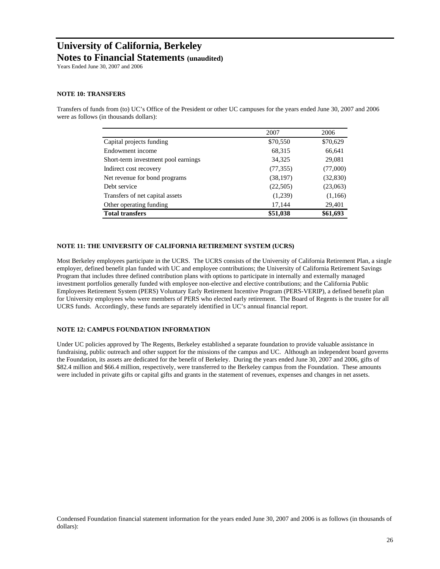## **University of California, Berkeley Notes to Financial Statements (unaudited)**

Years Ended June 30, 2007 and 2006

#### **NOTE 10: TRANSFERS**

Transfers of funds from (to) UC's Office of the President or other UC campuses for the years ended June 30, 2007 and 2006 were as follows (in thousands dollars):

|                                     | 2007      | 2006      |
|-------------------------------------|-----------|-----------|
| Capital projects funding            | \$70,550  | \$70,629  |
| Endowment income                    | 68,315    | 66,641    |
| Short-term investment pool earnings | 34,325    | 29,081    |
| Indirect cost recovery              | (77, 355) | (77,000)  |
| Net revenue for bond programs       | (38, 197) | (32, 830) |
| Debt service                        | (22,505)  | (23,063)  |
| Transfers of net capital assets     | (1,239)   | (1,166)   |
| Other operating funding             | 17,144    | 29,401    |
| <b>Total transfers</b>              | \$51,038  | \$61,693  |

#### **NOTE 11: THE UNIVERSITY OF CALIFORNIA RETIREMENT SYSTEM (UCRS)**

Most Berkeley employees participate in the UCRS. The UCRS consists of the University of California Retirement Plan, a single employer, defined benefit plan funded with UC and employee contributions; the University of California Retirement Savings Program that includes three defined contribution plans with options to participate in internally and externally managed investment portfolios generally funded with employee non-elective and elective contributions; and the California Public Employees Retirement System (PERS) Voluntary Early Retirement Incentive Program (PERS-VERIP), a defined benefit plan for University employees who were members of PERS who elected early retirement. The Board of Regents is the trustee for all UCRS funds. Accordingly, these funds are separately identified in UC's annual financial report.

#### **NOTE 12: CAMPUS FOUNDATION INFORMATION**

Under UC policies approved by The Regents, Berkeley established a separate foundation to provide valuable assistance in fundraising, public outreach and other support for the missions of the campus and UC. Although an independent board governs the Foundation, its assets are dedicated for the benefit of Berkeley. During the years ended June 30, 2007 and 2006, gifts of \$82.4 million and \$66.4 million, respectively, were transferred to the Berkeley campus from the Foundation. These amounts were included in private gifts or capital gifts and grants in the statement of revenues, expenses and changes in net assets.

Condensed Foundation financial statement information for the years ended June 30, 2007 and 2006 is as follows (in thousands of dollars):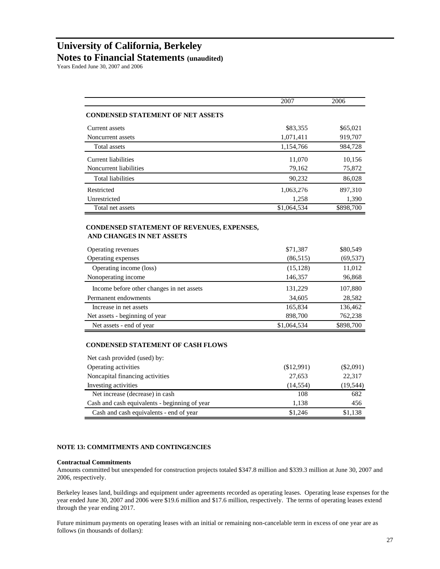### **Notes to Financial Statements (unaudited)**

Years Ended June 30, 2007 and 2006

|                                                                       | 2007                 | 2006                            |
|-----------------------------------------------------------------------|----------------------|---------------------------------|
| <b>CONDENSED STATEMENT OF NET ASSETS</b>                              |                      |                                 |
| Current assets                                                        | \$83,355             | \$65,021                        |
| Noncurrent assets                                                     | 1,071,411            | 919,707                         |
| Total assets                                                          | 1,154,766            | 984,728                         |
| <b>Current liabilities</b>                                            | 11,070               | 10,156                          |
| Noncurrent liabilities                                                | 79,162               | 75,872                          |
| <b>Total liabilities</b>                                              | 90,232               | 86,028                          |
| Restricted                                                            | 1,063,276            | 897,310                         |
| Unrestricted                                                          | 1,258                | 1,390                           |
| Total net assets                                                      | \$1,064,534          | \$898,700                       |
| AND CHANGES IN NET ASSETS<br>Operating revenues                       | \$71,387             | \$80,549                        |
| Operating expenses                                                    | (86, 515)            | (69, 537)                       |
| Operating income (loss)                                               | (15, 128)            | 11,012                          |
| Nonoperating income                                                   | 146,357              | 96,868                          |
| Income before other changes in net assets                             | 131,229              | 107,880                         |
| Permanent endowments                                                  | 34,605               | 28,582                          |
| Increase in net assets                                                | 165,834              | 136,462                         |
| Net assets - beginning of year                                        | 898,700              | 762,238                         |
| Net assets - end of year                                              | \$1,064,534          | \$898,700                       |
| <b>CONDENSED STATEMENT OF CASH FLOWS</b>                              |                      |                                 |
|                                                                       |                      |                                 |
|                                                                       |                      |                                 |
| Net cash provided (used) by:                                          |                      |                                 |
| Operating activities<br>Noncapital financing activities               | (\$12,991)<br>27,653 | 22,317                          |
|                                                                       | (14, 554)            |                                 |
| Net increase (decrease) in cash                                       | 108                  | 682                             |
| Investing activities<br>Cash and cash equivalents - beginning of year | 1,138                | $(\$2,091)$<br>(19, 544)<br>456 |

### **NOTE 13: COMMITMENTS AND CONTINGENCIES**

#### **Contractual Commitments**

Amounts committed but unexpended for construction projects totaled \$347.8 million and \$339.3 million at June 30, 2007 and 2006, respectively.

Berkeley leases land, buildings and equipment under agreements recorded as operating leases. Operating lease expenses for the year ended June 30, 2007 and 2006 were \$19.6 million and \$17.6 million, respectively. The terms of operating leases extend through the year ending 2017.

Future minimum payments on operating leases with an initial or remaining non-cancelable term in excess of one year are as follows (in thousands of dollars):